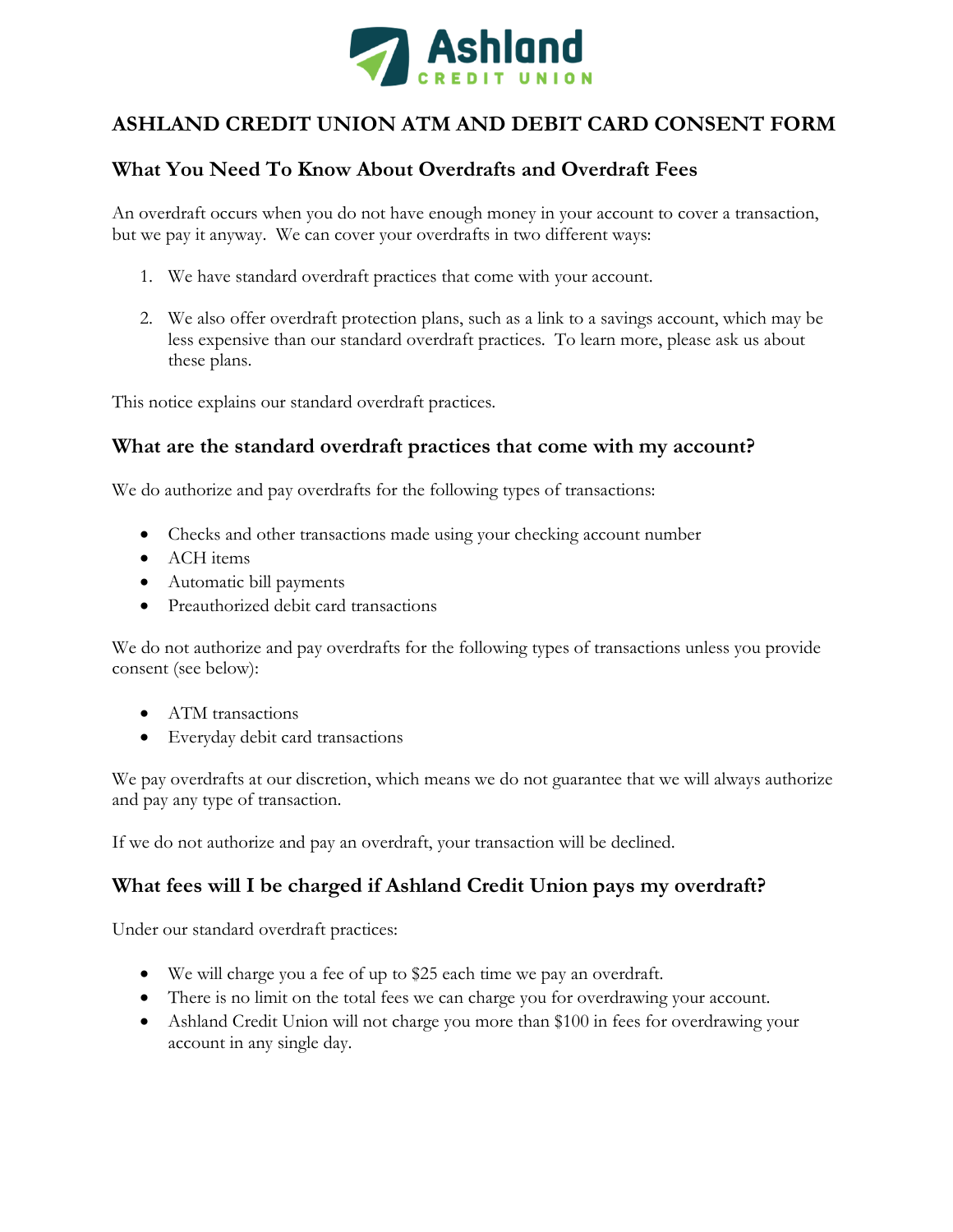

# **ASHLAND CREDIT UNION ATM AND DEBIT CARD CONSENT FORM**

# **What You Need To Know About Overdrafts and Overdraft Fees**

An overdraft occurs when you do not have enough money in your account to cover a transaction, but we pay it anyway. We can cover your overdrafts in two different ways:

- 1. We have standard overdraft practices that come with your account.
- 2. We also offer overdraft protection plans, such as a link to a savings account, which may be less expensive than our standard overdraft practices. To learn more, please ask us about these plans.

This notice explains our standard overdraft practices.

#### **What are the standard overdraft practices that come with my account?**

We do authorize and pay overdrafts for the following types of transactions:

- Checks and other transactions made using your checking account number
- ACH items
- Automatic bill payments
- Preauthorized debit card transactions

We do not authorize and pay overdrafts for the following types of transactions unless you provide consent (see below):

- ATM transactions
- Everyday debit card transactions

We pay overdrafts at our discretion, which means we do not guarantee that we will always authorize and pay any type of transaction.

If we do not authorize and pay an overdraft, your transaction will be declined.

### **What fees will I be charged if Ashland Credit Union pays my overdraft?**

Under our standard overdraft practices:

- We will charge you a fee of up to \$25 each time we pay an overdraft.
- There is no limit on the total fees we can charge you for overdrawing your account.
- Ashland Credit Union will not charge you more than \$100 in fees for overdrawing your account in any single day.